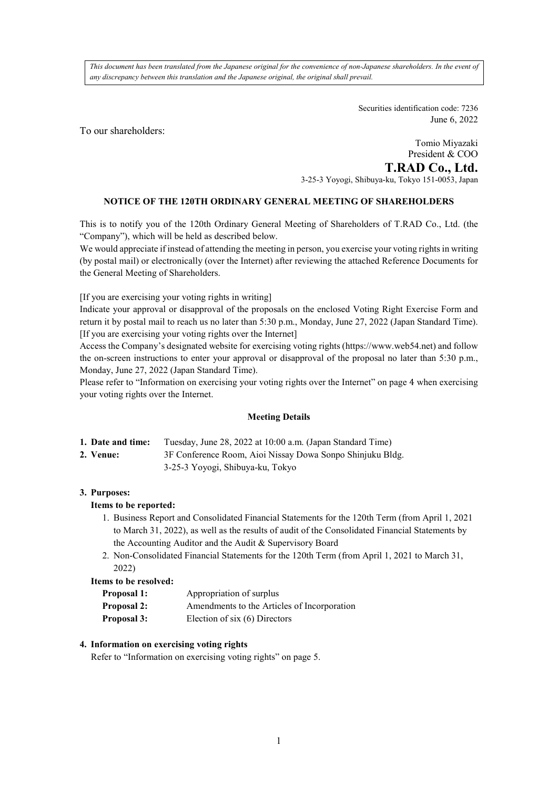*This document has been translated from the Japanese original for the convenience of non-Japanese shareholders. In the event of any discrepancy between this translation and the Japanese original, the original shall prevail.*

> Securities identification code: 7236 June 6, 2022

To our shareholders:

Tomio Miyazaki President & COO **T.RAD Co., Ltd.**  3-25-3 Yoyogi, Shibuya-ku, Tokyo 151-0053, Japan

## **NOTICE OF THE 120TH ORDINARY GENERAL MEETING OF SHAREHOLDERS**

This is to notify you of the 120th Ordinary General Meeting of Shareholders of T.RAD Co., Ltd. (the "Company"), which will be held as described below.

We would appreciate if instead of attending the meeting in person, you exercise your voting rights in writing (by postal mail) or electronically (over the Internet) after reviewing the attached Reference Documents for the General Meeting of Shareholders.

[If you are exercising your voting rights in writing]

Indicate your approval or disapproval of the proposals on the enclosed Voting Right Exercise Form and return it by postal mail to reach us no later than 5:30 p.m., Monday, June 27, 2022 (Japan Standard Time). [If you are exercising your voting rights over the Internet]

Access the Company's designated website for exercising voting rights (https://www.web54.net) and follow the on-screen instructions to enter your approval or disapproval of the proposal no later than 5:30 p.m., Monday, June 27, 2022 (Japan Standard Time).

Please refer to "Information on exercising your voting rights over the Internet" on page 4 when exercising your voting rights over the Internet.

#### **Meeting Details**

| 1. Date and time: | Tuesday, June 28, 2022 at 10:00 a.m. (Japan Standard Time) |  |
|-------------------|------------------------------------------------------------|--|
|                   |                                                            |  |

- **2. Venue:** 3F Conference Room, Aioi Nissay Dowa Sonpo Shinjuku Bldg.
	- 3-25-3 Yoyogi, Shibuya-ku, Tokyo

#### **3. Purposes:**

#### **Items to be reported:**

- 1. Business Report and Consolidated Financial Statements for the 120th Term (from April 1, 2021 to March 31, 2022), as well as the results of audit of the Consolidated Financial Statements by the Accounting Auditor and the Audit & Supervisory Board
- 2. Non-Consolidated Financial Statements for the 120th Term (from April 1, 2021 to March 31, 2022)

#### **Items to be resolved:**

| <b>Proposal 1:</b> | Appropriation of surplus                    |
|--------------------|---------------------------------------------|
| <b>Proposal 2:</b> | Amendments to the Articles of Incorporation |
| <b>Proposal 3:</b> | Election of six $(6)$ Directors             |

#### **4. Information on exercising voting rights**

Refer to "Information on exercising voting rights" on page 5.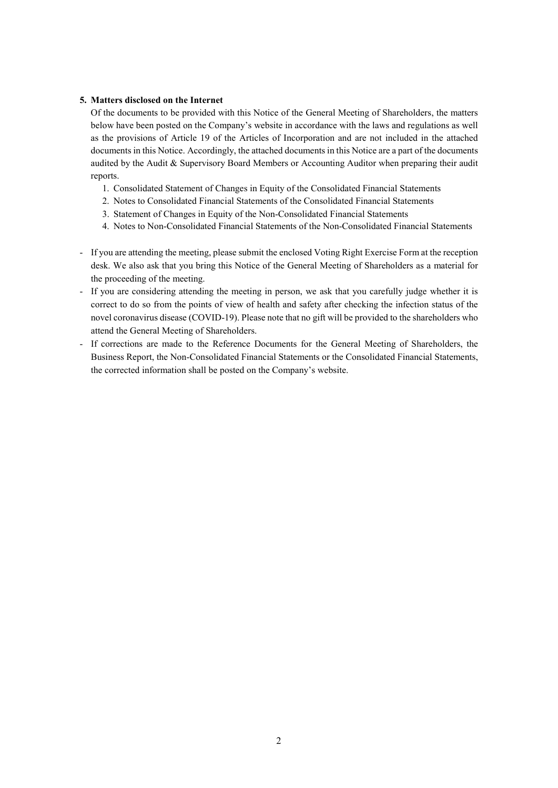#### **5. Matters disclosed on the Internet**

Of the documents to be provided with this Notice of the General Meeting of Shareholders, the matters below have been posted on the Company's website in accordance with the laws and regulations as well as the provisions of Article 19 of the Articles of Incorporation and are not included in the attached documents in this Notice. Accordingly, the attached documents in this Notice are a part of the documents audited by the Audit & Supervisory Board Members or Accounting Auditor when preparing their audit reports.

- 1. Consolidated Statement of Changes in Equity of the Consolidated Financial Statements
- 2. Notes to Consolidated Financial Statements of the Consolidated Financial Statements
- 3. Statement of Changes in Equity of the Non-Consolidated Financial Statements
- 4. Notes to Non-Consolidated Financial Statements of the Non-Consolidated Financial Statements
- If you are attending the meeting, please submit the enclosed Voting Right Exercise Form at the reception desk. We also ask that you bring this Notice of the General Meeting of Shareholders as a material for the proceeding of the meeting.
- If you are considering attending the meeting in person, we ask that you carefully judge whether it is correct to do so from the points of view of health and safety after checking the infection status of the novel coronavirus disease (COVID-19). Please note that no gift will be provided to the shareholders who attend the General Meeting of Shareholders.
- If corrections are made to the Reference Documents for the General Meeting of Shareholders, the Business Report, the Non-Consolidated Financial Statements or the Consolidated Financial Statements, the corrected information shall be posted on the Company's website.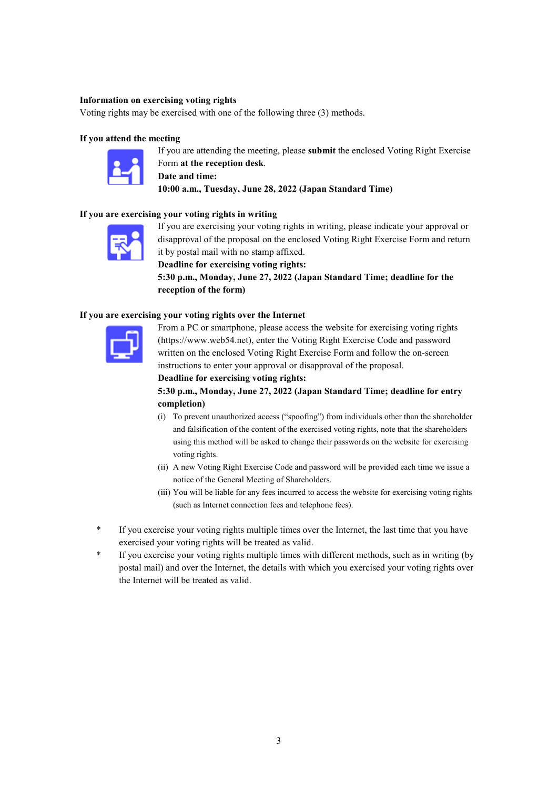## **Information on exercising voting rights**

Voting rights may be exercised with one of the following three (3) methods.

#### **If you attend the meeting**



 If you are attending the meeting, please **submit** the enclosed Voting Right Exercise Form **at the reception desk**. **Date and time: 10:00 a.m., Tuesday, June 28, 2022 (Japan Standard Time)**

#### **If you are exercising your voting rights in writing**



 If you are exercising your voting rights in writing, please indicate your approval or disapproval of the proposal on the enclosed Voting Right Exercise Form and return it by postal mail with no stamp affixed.

**Deadline for exercising voting rights: 5:30 p.m., Monday, June 27, 2022 (Japan Standard Time; deadline for the reception of the form)**

#### **If you are exercising your voting rights over the Internet**



 From a PC or smartphone, please access the website for exercising voting rights (https://www.web54.net), enter the Voting Right Exercise Code and password written on the enclosed Voting Right Exercise Form and follow the on-screen instructions to enter your approval or disapproval of the proposal.

#### **Deadline for exercising voting rights:**

## **5:30 p.m., Monday, June 27, 2022 (Japan Standard Time; deadline for entry completion)**

- (i) To prevent unauthorized access ("spoofing") from individuals other than the shareholder and falsification of the content of the exercised voting rights, note that the shareholders using this method will be asked to change their passwords on the website for exercising voting rights.
- (ii) A new Voting Right Exercise Code and password will be provided each time we issue a notice of the General Meeting of Shareholders.
- (iii) You will be liable for any fees incurred to access the website for exercising voting rights (such as Internet connection fees and telephone fees).
- If you exercise your voting rights multiple times over the Internet, the last time that you have exercised your voting rights will be treated as valid.
- \* If you exercise your voting rights multiple times with different methods, such as in writing (by postal mail) and over the Internet, the details with which you exercised your voting rights over the Internet will be treated as valid.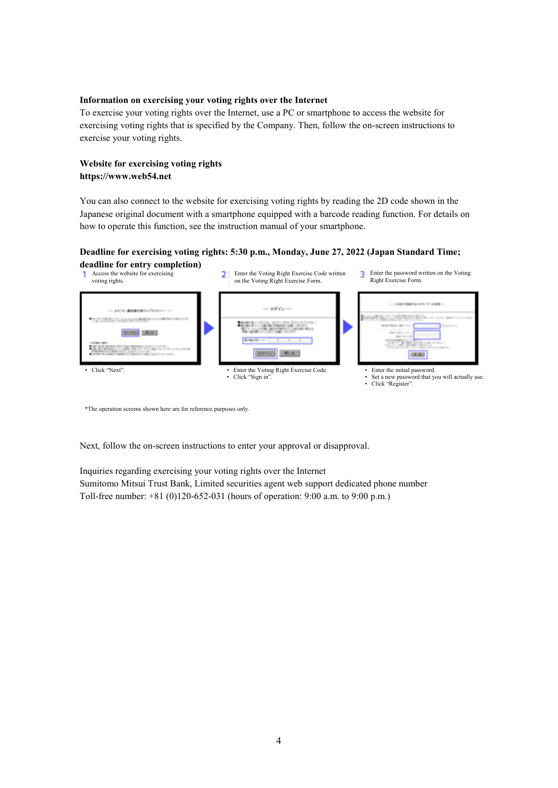#### **Information on exercising your voting rights over the Internet**

To exercise your voting rights over the Internet, use a PC or smartphone to access the website for exercising voting rights that is specified by the Company. Then, follow the on-screen instructions to exercise your voting rights.

## **Website for exercising voting rights https://www.web54.net**

You can also connect to the website for exercising voting rights by reading the 2D code shown in the Japanese original document with a smartphone equipped with a barcode reading function. For details on how to operate this function, see the instruction manual of your smartphone.

## **Deadline for exercising voting rights: 5:30 p.m., Monday, June 27, 2022 (Japan Standard Time;**



\*The operation screens shown here are for reference purposes only.

Next, follow the on-screen instructions to enter your approval or disapproval.

Inquiries regarding exercising your voting rights over the Internet

Sumitomo Mitsui Trust Bank, Limited securities agent web support dedicated phone number Toll-free number: +81 (0)120-652-031 (hours of operation: 9:00 a.m. to 9:00 p.m.)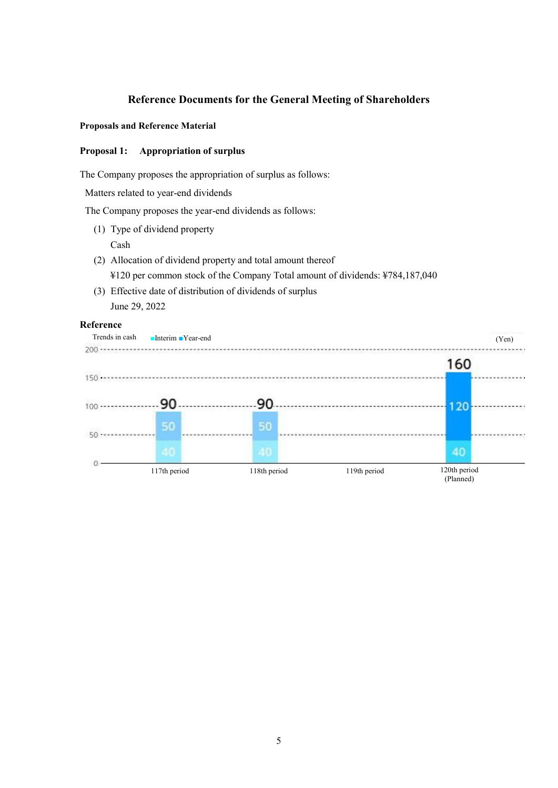# **Reference Documents for the General Meeting of Shareholders**

## **Proposals and Reference Material**

## **Proposal 1: Appropriation of surplus**

The Company proposes the appropriation of surplus as follows:

Matters related to year-end dividends

The Company proposes the year-end dividends as follows:

- (1) Type of dividend property
	- Cash
- (2) Allocation of dividend property and total amount thereof ¥120 per common stock of the Company Total amount of dividends: ¥784,187,040
- (3) Effective date of distribution of dividends of surplus June 29, 2022

## **Reference**

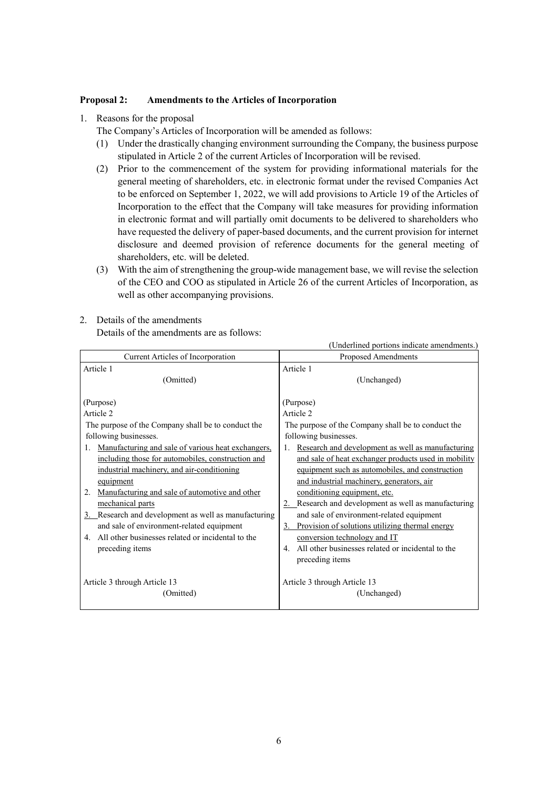## **Proposal 2: Amendments to the Articles of Incorporation**

1. Reasons for the proposal

The Company's Articles of Incorporation will be amended as follows:

- (1) Under the drastically changing environment surrounding the Company, the business purpose stipulated in Article 2 of the current Articles of Incorporation will be revised.
- (2) Prior to the commencement of the system for providing informational materials for the general meeting of shareholders, etc. in electronic format under the revised Companies Act to be enforced on September 1, 2022, we will add provisions to Article 19 of the Articles of Incorporation to the effect that the Company will take measures for providing information in electronic format and will partially omit documents to be delivered to shareholders who have requested the delivery of paper-based documents, and the current provision for internet disclosure and deemed provision of reference documents for the general meeting of shareholders, etc. will be deleted.
- (3) With the aim of strengthening the group-wide management base, we will revise the selection of the CEO and COO as stipulated in Article 26 of the current Articles of Incorporation, as well as other accompanying provisions.

|                                                      | (Underlined portions indicate amendments.)           |
|------------------------------------------------------|------------------------------------------------------|
| Current Articles of Incorporation                    | Proposed Amendments                                  |
| Article 1                                            | Article 1                                            |
| (Omitted)                                            | (Unchanged)                                          |
| (Purpose)                                            | (Purpose)                                            |
| Article 2                                            | Article 2                                            |
| The purpose of the Company shall be to conduct the   | The purpose of the Company shall be to conduct the   |
| following businesses.                                | following businesses.                                |
| Manufacturing and sale of various heat exchangers.   | Research and development as well as manufacturing    |
| 1.                                                   | and sale of heat exchanger products used in mobility |
| including those for automobiles, construction and    | equipment such as automobiles, and construction      |
| industrial machinery, and air-conditioning           | and industrial machinery, generators, air            |
| equipment                                            | conditioning equipment, etc.                         |
| Manufacturing and sale of automotive and other       | 2. Research and development as well as manufacturing |
| 2.                                                   | and sale of environment-related equipment            |
| mechanical parts                                     | 3. Provision of solutions utilizing thermal energy   |
| 3. Research and development as well as manufacturing | conversion technology and IT                         |
| and sale of environment-related equipment            | All other businesses related or incidental to the    |
| 4. All other businesses related or incidental to the | 4.                                                   |
| preceding items                                      | preceding items                                      |
| Article 3 through Article 13                         | Article 3 through Article 13                         |
| (Omitted)                                            | (Unchanged)                                          |

2. Details of the amendments

Details of the amendments are as follows: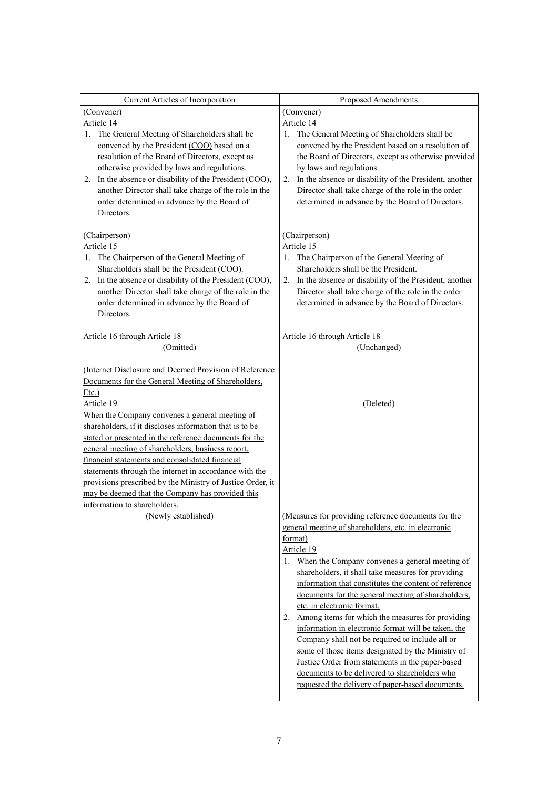| Current Articles of Incorporation                                                                                                                                                                                                                                                                                                                                                | Proposed Amendments                                                                                                                                                                                                                                                                                                                                                  |  |
|----------------------------------------------------------------------------------------------------------------------------------------------------------------------------------------------------------------------------------------------------------------------------------------------------------------------------------------------------------------------------------|----------------------------------------------------------------------------------------------------------------------------------------------------------------------------------------------------------------------------------------------------------------------------------------------------------------------------------------------------------------------|--|
| (Convener)                                                                                                                                                                                                                                                                                                                                                                       | (Convener)                                                                                                                                                                                                                                                                                                                                                           |  |
| Article 14                                                                                                                                                                                                                                                                                                                                                                       | Article 14                                                                                                                                                                                                                                                                                                                                                           |  |
| 1. The General Meeting of Shareholders shall be<br>convened by the President (COO) based on a<br>resolution of the Board of Directors, except as<br>otherwise provided by laws and regulations.<br>2. In the absence or disability of the President (COO),<br>another Director shall take charge of the role in the<br>order determined in advance by the Board of<br>Directors. | The General Meeting of Shareholders shall be<br>1.<br>convened by the President based on a resolution of<br>the Board of Directors, except as otherwise provided<br>by laws and regulations.<br>2. In the absence or disability of the President, another<br>Director shall take charge of the role in the order<br>determined in advance by the Board of Directors. |  |
| (Chairperson)                                                                                                                                                                                                                                                                                                                                                                    | (Chairperson)                                                                                                                                                                                                                                                                                                                                                        |  |
| Article 15                                                                                                                                                                                                                                                                                                                                                                       | Article 15                                                                                                                                                                                                                                                                                                                                                           |  |
| The Chairperson of the General Meeting of<br>1.                                                                                                                                                                                                                                                                                                                                  | 1. The Chairperson of the General Meeting of                                                                                                                                                                                                                                                                                                                         |  |
| Shareholders shall be the President (COO).                                                                                                                                                                                                                                                                                                                                       | Shareholders shall be the President.                                                                                                                                                                                                                                                                                                                                 |  |
| 2. In the absence or disability of the President (COO),<br>another Director shall take charge of the role in the                                                                                                                                                                                                                                                                 | 2. In the absence or disability of the President, another<br>Director shall take charge of the role in the order                                                                                                                                                                                                                                                     |  |
| order determined in advance by the Board of                                                                                                                                                                                                                                                                                                                                      | determined in advance by the Board of Directors.                                                                                                                                                                                                                                                                                                                     |  |
| Directors.                                                                                                                                                                                                                                                                                                                                                                       |                                                                                                                                                                                                                                                                                                                                                                      |  |
|                                                                                                                                                                                                                                                                                                                                                                                  |                                                                                                                                                                                                                                                                                                                                                                      |  |
| Article 16 through Article 18<br>(Omitted)                                                                                                                                                                                                                                                                                                                                       | Article 16 through Article 18<br>(Unchanged)                                                                                                                                                                                                                                                                                                                         |  |
|                                                                                                                                                                                                                                                                                                                                                                                  |                                                                                                                                                                                                                                                                                                                                                                      |  |
| (Internet Disclosure and Deemed Provision of Reference                                                                                                                                                                                                                                                                                                                           |                                                                                                                                                                                                                                                                                                                                                                      |  |
| Documents for the General Meeting of Shareholders,                                                                                                                                                                                                                                                                                                                               |                                                                                                                                                                                                                                                                                                                                                                      |  |
| $Etc.$ )<br>Article 19                                                                                                                                                                                                                                                                                                                                                           | (Deleted)                                                                                                                                                                                                                                                                                                                                                            |  |
|                                                                                                                                                                                                                                                                                                                                                                                  |                                                                                                                                                                                                                                                                                                                                                                      |  |
|                                                                                                                                                                                                                                                                                                                                                                                  |                                                                                                                                                                                                                                                                                                                                                                      |  |
| When the Company convenes a general meeting of                                                                                                                                                                                                                                                                                                                                   |                                                                                                                                                                                                                                                                                                                                                                      |  |
| shareholders, if it discloses information that is to be<br>stated or presented in the reference documents for the                                                                                                                                                                                                                                                                |                                                                                                                                                                                                                                                                                                                                                                      |  |
| general meeting of shareholders, business report,                                                                                                                                                                                                                                                                                                                                |                                                                                                                                                                                                                                                                                                                                                                      |  |
| financial statements and consolidated financial                                                                                                                                                                                                                                                                                                                                  |                                                                                                                                                                                                                                                                                                                                                                      |  |
| statements through the internet in accordance with the                                                                                                                                                                                                                                                                                                                           |                                                                                                                                                                                                                                                                                                                                                                      |  |
| provisions prescribed by the Ministry of Justice Order, it                                                                                                                                                                                                                                                                                                                       |                                                                                                                                                                                                                                                                                                                                                                      |  |
| may be deemed that the Company has provided this<br>information to shareholders.                                                                                                                                                                                                                                                                                                 |                                                                                                                                                                                                                                                                                                                                                                      |  |
| (Newly established)                                                                                                                                                                                                                                                                                                                                                              | (Measures for providing reference documents for the                                                                                                                                                                                                                                                                                                                  |  |
|                                                                                                                                                                                                                                                                                                                                                                                  | general meeting of shareholders, etc. in electronic                                                                                                                                                                                                                                                                                                                  |  |
|                                                                                                                                                                                                                                                                                                                                                                                  | format)                                                                                                                                                                                                                                                                                                                                                              |  |
|                                                                                                                                                                                                                                                                                                                                                                                  | Article 19                                                                                                                                                                                                                                                                                                                                                           |  |
|                                                                                                                                                                                                                                                                                                                                                                                  | 1. When the Company convenes a general meeting of                                                                                                                                                                                                                                                                                                                    |  |
|                                                                                                                                                                                                                                                                                                                                                                                  | shareholders, it shall take measures for providing                                                                                                                                                                                                                                                                                                                   |  |
|                                                                                                                                                                                                                                                                                                                                                                                  | information that constitutes the content of reference<br>documents for the general meeting of shareholders,                                                                                                                                                                                                                                                          |  |
|                                                                                                                                                                                                                                                                                                                                                                                  | etc. in electronic format.                                                                                                                                                                                                                                                                                                                                           |  |
|                                                                                                                                                                                                                                                                                                                                                                                  | 2. Among items for which the measures for providing                                                                                                                                                                                                                                                                                                                  |  |
|                                                                                                                                                                                                                                                                                                                                                                                  | information in electronic format will be taken, the                                                                                                                                                                                                                                                                                                                  |  |
|                                                                                                                                                                                                                                                                                                                                                                                  | Company shall not be required to include all or                                                                                                                                                                                                                                                                                                                      |  |
|                                                                                                                                                                                                                                                                                                                                                                                  | some of those items designated by the Ministry of<br>Justice Order from statements in the paper-based                                                                                                                                                                                                                                                                |  |
|                                                                                                                                                                                                                                                                                                                                                                                  | documents to be delivered to shareholders who                                                                                                                                                                                                                                                                                                                        |  |
|                                                                                                                                                                                                                                                                                                                                                                                  | requested the delivery of paper-based documents.                                                                                                                                                                                                                                                                                                                     |  |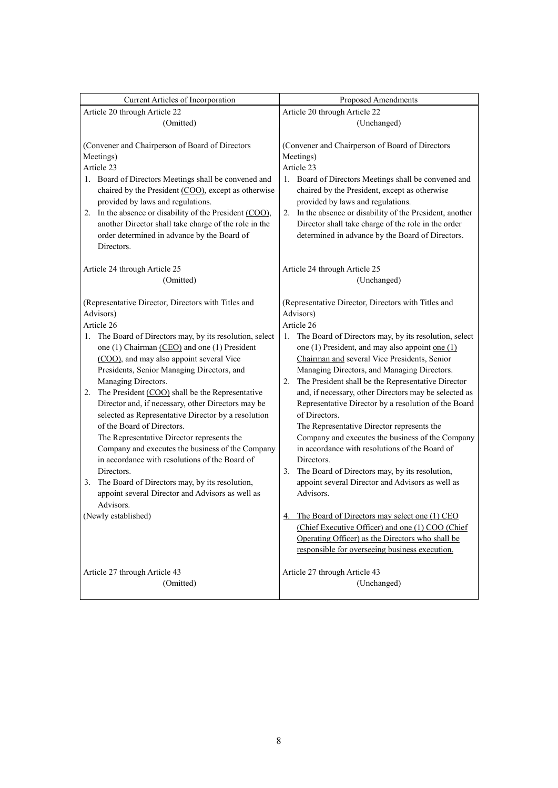| Current Articles of Incorporation                                                                                                                                                                                                                                                                                                                                                                                                                                                                                                                                                                                                                                                                                                                                                                                              | Proposed Amendments                                                                                                                                                                                                                                                                                                                                                                                                                                                                                                                                                                                                                                                                                                                                                                                                                               |
|--------------------------------------------------------------------------------------------------------------------------------------------------------------------------------------------------------------------------------------------------------------------------------------------------------------------------------------------------------------------------------------------------------------------------------------------------------------------------------------------------------------------------------------------------------------------------------------------------------------------------------------------------------------------------------------------------------------------------------------------------------------------------------------------------------------------------------|---------------------------------------------------------------------------------------------------------------------------------------------------------------------------------------------------------------------------------------------------------------------------------------------------------------------------------------------------------------------------------------------------------------------------------------------------------------------------------------------------------------------------------------------------------------------------------------------------------------------------------------------------------------------------------------------------------------------------------------------------------------------------------------------------------------------------------------------------|
| Article 20 through Article 22                                                                                                                                                                                                                                                                                                                                                                                                                                                                                                                                                                                                                                                                                                                                                                                                  | Article 20 through Article 22                                                                                                                                                                                                                                                                                                                                                                                                                                                                                                                                                                                                                                                                                                                                                                                                                     |
| (Omitted)                                                                                                                                                                                                                                                                                                                                                                                                                                                                                                                                                                                                                                                                                                                                                                                                                      | (Unchanged)                                                                                                                                                                                                                                                                                                                                                                                                                                                                                                                                                                                                                                                                                                                                                                                                                                       |
| (Convener and Chairperson of Board of Directors<br>Meetings)<br>Article 23<br>1. Board of Directors Meetings shall be convened and<br>chaired by the President (COO), except as otherwise<br>provided by laws and regulations.<br>2. In the absence or disability of the President (COO),<br>another Director shall take charge of the role in the<br>order determined in advance by the Board of<br>Directors.                                                                                                                                                                                                                                                                                                                                                                                                                | (Convener and Chairperson of Board of Directors<br>Meetings)<br>Article 23<br>1. Board of Directors Meetings shall be convened and<br>chaired by the President, except as otherwise<br>provided by laws and regulations.<br>In the absence or disability of the President, another<br>2.<br>Director shall take charge of the role in the order<br>determined in advance by the Board of Directors.                                                                                                                                                                                                                                                                                                                                                                                                                                               |
| Article 24 through Article 25<br>(Omitted)                                                                                                                                                                                                                                                                                                                                                                                                                                                                                                                                                                                                                                                                                                                                                                                     | Article 24 through Article 25<br>(Unchanged)                                                                                                                                                                                                                                                                                                                                                                                                                                                                                                                                                                                                                                                                                                                                                                                                      |
| (Representative Director, Directors with Titles and<br>Advisors)<br>Article 26<br>1. The Board of Directors may, by its resolution, select<br>one (1) Chairman (CEO) and one (1) President<br>(COO), and may also appoint several Vice<br>Presidents, Senior Managing Directors, and<br>Managing Directors.<br>The President (COO) shall be the Representative<br>2.<br>Director and, if necessary, other Directors may be<br>selected as Representative Director by a resolution<br>of the Board of Directors.<br>The Representative Director represents the<br>Company and executes the business of the Company<br>in accordance with resolutions of the Board of<br>Directors.<br>3. The Board of Directors may, by its resolution,<br>appoint several Director and Advisors as well as<br>Advisors.<br>(Newly established) | (Representative Director, Directors with Titles and<br>Advisors)<br>Article 26<br>The Board of Directors may, by its resolution, select<br>1.<br>one (1) President, and may also appoint one $(1)$<br>Chairman and several Vice Presidents, Senior<br>Managing Directors, and Managing Directors.<br>The President shall be the Representative Director<br>2.<br>and, if necessary, other Directors may be selected as<br>Representative Director by a resolution of the Board<br>of Directors.<br>The Representative Director represents the<br>Company and executes the business of the Company<br>in accordance with resolutions of the Board of<br>Directors.<br>The Board of Directors may, by its resolution,<br>3.<br>appoint several Director and Advisors as well as<br>Advisors.<br>The Board of Directors may select one (1) CEO<br>4. |
|                                                                                                                                                                                                                                                                                                                                                                                                                                                                                                                                                                                                                                                                                                                                                                                                                                | (Chief Executive Officer) and one (1) COO (Chief<br>Operating Officer) as the Directors who shall be<br>responsible for overseeing business execution.                                                                                                                                                                                                                                                                                                                                                                                                                                                                                                                                                                                                                                                                                            |
| Article 27 through Article 43<br>(Omitted)                                                                                                                                                                                                                                                                                                                                                                                                                                                                                                                                                                                                                                                                                                                                                                                     | Article 27 through Article 43<br>(Unchanged)                                                                                                                                                                                                                                                                                                                                                                                                                                                                                                                                                                                                                                                                                                                                                                                                      |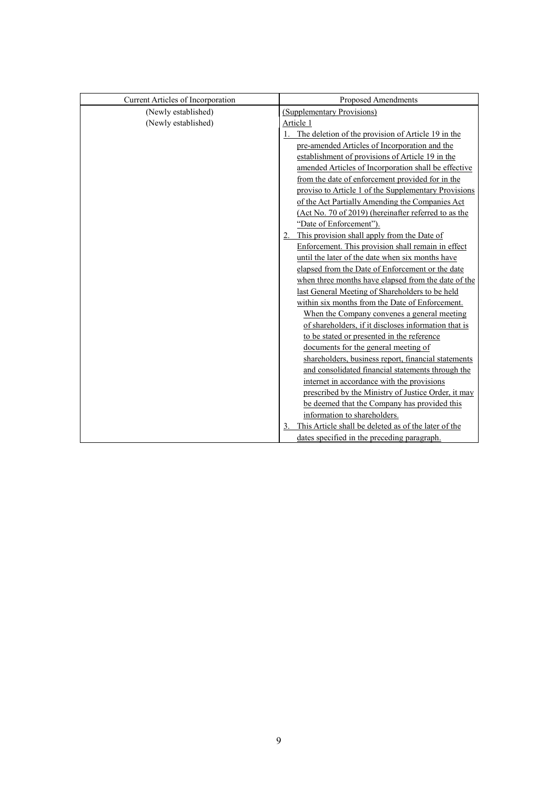| Current Articles of Incorporation | Proposed Amendments                                  |
|-----------------------------------|------------------------------------------------------|
| (Newly established)               | (Supplementary Provisions)                           |
| (Newly established)               | Article 1                                            |
|                                   | The deletion of the provision of Article 19 in the   |
|                                   | pre-amended Articles of Incorporation and the        |
|                                   | establishment of provisions of Article 19 in the     |
|                                   | amended Articles of Incorporation shall be effective |
|                                   | from the date of enforcement provided for in the     |
|                                   | proviso to Article 1 of the Supplementary Provisions |
|                                   | of the Act Partially Amending the Companies Act      |
|                                   | (Act No. 70 of 2019) (hereinafter referred to as the |
|                                   | "Date of Enforcement").                              |
|                                   | This provision shall apply from the Date of          |
|                                   | Enforcement. This provision shall remain in effect   |
|                                   | until the later of the date when six months have     |
|                                   | elapsed from the Date of Enforcement or the date     |
|                                   | when three months have elapsed from the date of the  |
|                                   | last General Meeting of Shareholders to be held      |
|                                   | within six months from the Date of Enforcement.      |
|                                   | When the Company convenes a general meeting          |
|                                   | of shareholders, if it discloses information that is |
|                                   | to be stated or presented in the reference           |
|                                   | documents for the general meeting of                 |
|                                   | shareholders, business report, financial statements  |
|                                   | and consolidated financial statements through the    |
|                                   | internet in accordance with the provisions           |
|                                   | prescribed by the Ministry of Justice Order, it may  |
|                                   | be deemed that the Company has provided this         |
|                                   | information to shareholders.                         |
|                                   | This Article shall be deleted as of the later of the |
|                                   | dates specified in the preceding paragraph.          |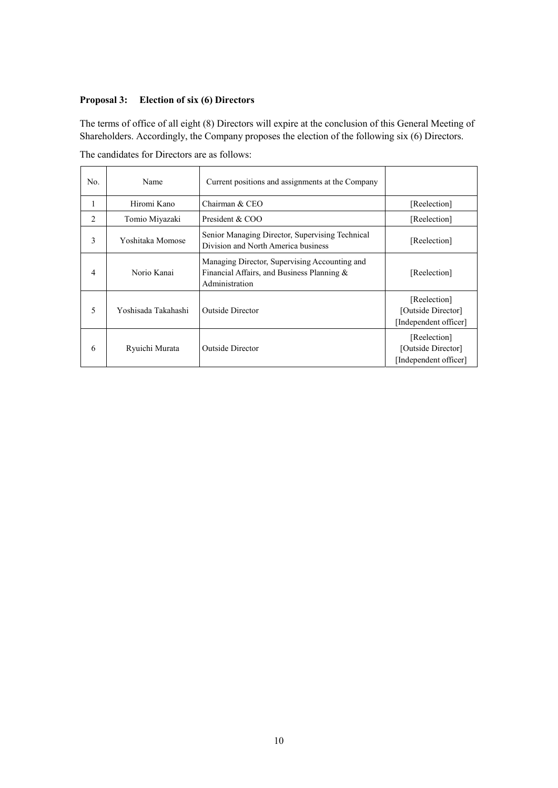# **Proposal 3: Election of six (6) Directors**

The terms of office of all eight (8) Directors will expire at the conclusion of this General Meeting of Shareholders. Accordingly, the Company proposes the election of the following six (6) Directors.

| No.                           | Name                | Current positions and assignments at the Company                                                              |                                                             |
|-------------------------------|---------------------|---------------------------------------------------------------------------------------------------------------|-------------------------------------------------------------|
|                               | Hiromi Kano         | Chairman & CEO                                                                                                | [Reelection]                                                |
| $\mathfrak{D}_{\mathfrak{p}}$ | Tomio Miyazaki      | President & COO                                                                                               | [Reelection]                                                |
| 3                             | Yoshitaka Momose    | Senior Managing Director, Supervising Technical<br>Division and North America business                        | [Reelection]                                                |
| 4                             | Norio Kanai         | Managing Director, Supervising Accounting and<br>Financial Affairs, and Business Planning &<br>Administration | [Reelection]                                                |
| 5                             | Yoshisada Takahashi | Outside Director                                                                                              | [Reelection]<br>[Outside Director]<br>[Independent officer] |
| 6                             | Ryuichi Murata      | <b>Outside Director</b>                                                                                       | [Reelection]<br>[Outside Director]<br>[Independent officer] |

The candidates for Directors are as follows: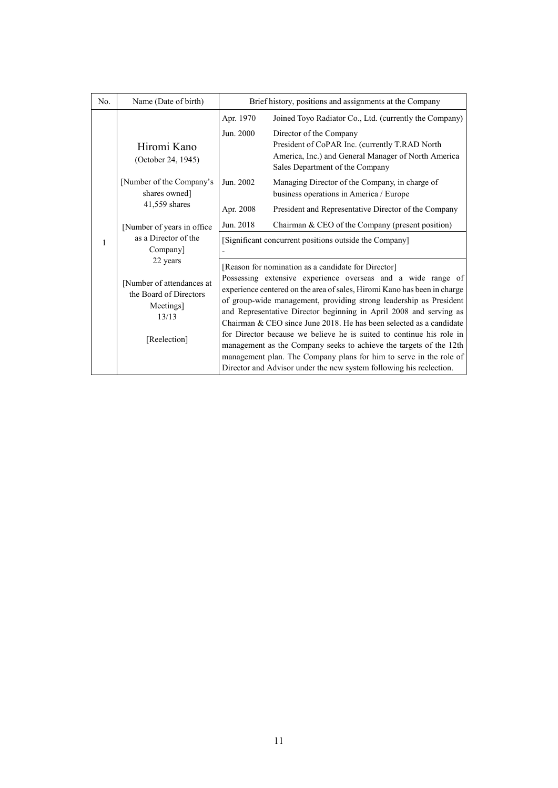| No.                                   | Name (Date of birth)                                                      | Brief history, positions and assignments at the Company            |                                                                                                                                                                                                                                                                                                                                                                |
|---------------------------------------|---------------------------------------------------------------------------|--------------------------------------------------------------------|----------------------------------------------------------------------------------------------------------------------------------------------------------------------------------------------------------------------------------------------------------------------------------------------------------------------------------------------------------------|
|                                       |                                                                           | Apr. 1970                                                          | Joined Toyo Radiator Co., Ltd. (currently the Company)                                                                                                                                                                                                                                                                                                         |
|                                       | Hiromi Kano<br>(October 24, 1945)                                         | Jun. 2000                                                          | Director of the Company<br>President of CoPAR Inc. (currently T.RAD North<br>America, Inc.) and General Manager of North America<br>Sales Department of the Company                                                                                                                                                                                            |
|                                       | [Number of the Company's<br>shares owned]                                 | Jun. 2002                                                          | Managing Director of the Company, in charge of<br>business operations in America / Europe                                                                                                                                                                                                                                                                      |
|                                       | 41,559 shares                                                             | Apr. 2008                                                          | President and Representative Director of the Company                                                                                                                                                                                                                                                                                                           |
|                                       | [Number of years in office                                                | Jun. 2018                                                          | Chairman & CEO of the Company (present position)                                                                                                                                                                                                                                                                                                               |
| as a Director of the<br>1<br>Company] |                                                                           | [Significant concurrent positions outside the Company]             |                                                                                                                                                                                                                                                                                                                                                                |
|                                       | 22 years                                                                  |                                                                    | [Reason for nomination as a candidate for Director]                                                                                                                                                                                                                                                                                                            |
|                                       | [Number of attendances at<br>the Board of Directors<br>Meetings]<br>13/13 |                                                                    | Possessing extensive experience overseas and a wide range of<br>experience centered on the area of sales, Hiromi Kano has been in charge<br>of group-wide management, providing strong leadership as President                                                                                                                                                 |
|                                       |                                                                           | and Representative Director beginning in April 2008 and serving as |                                                                                                                                                                                                                                                                                                                                                                |
|                                       | [Reelection]                                                              |                                                                    | Chairman & CEO since June 2018. He has been selected as a candidate<br>for Director because we believe he is suited to continue his role in<br>management as the Company seeks to achieve the targets of the 12th<br>management plan. The Company plans for him to serve in the role of<br>Director and Advisor under the new system following his reelection. |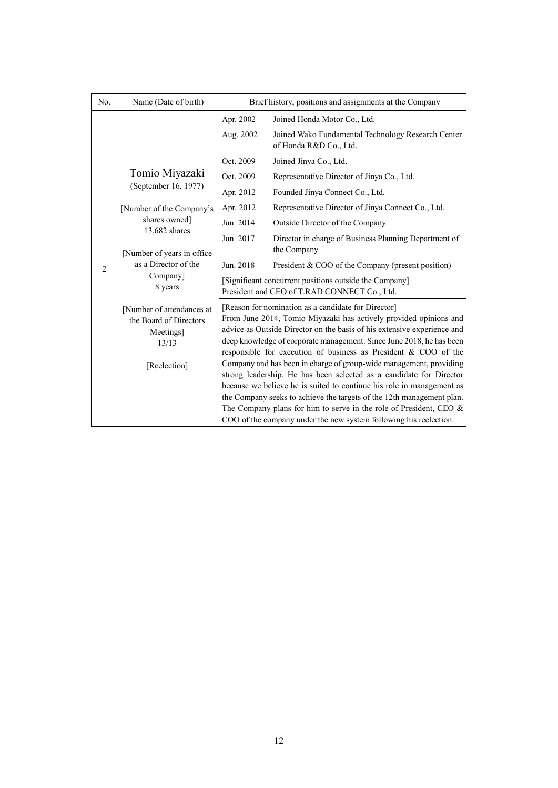| No.                                                           | Name (Date of birth)                                                                      | Brief history, positions and assignments at the Company |                                                                                                                                                                                                                                                                                                                                                                                                                                                                                                                                                                                                                                                                                                                                                                                             |  |
|---------------------------------------------------------------|-------------------------------------------------------------------------------------------|---------------------------------------------------------|---------------------------------------------------------------------------------------------------------------------------------------------------------------------------------------------------------------------------------------------------------------------------------------------------------------------------------------------------------------------------------------------------------------------------------------------------------------------------------------------------------------------------------------------------------------------------------------------------------------------------------------------------------------------------------------------------------------------------------------------------------------------------------------------|--|
|                                                               |                                                                                           | Apr. 2002                                               | Joined Honda Motor Co., Ltd.                                                                                                                                                                                                                                                                                                                                                                                                                                                                                                                                                                                                                                                                                                                                                                |  |
|                                                               |                                                                                           | Aug. 2002                                               | Joined Wako Fundamental Technology Research Center<br>of Honda R&D Co., Ltd.                                                                                                                                                                                                                                                                                                                                                                                                                                                                                                                                                                                                                                                                                                                |  |
|                                                               |                                                                                           | Oct. 2009                                               | Joined Jinya Co., Ltd.                                                                                                                                                                                                                                                                                                                                                                                                                                                                                                                                                                                                                                                                                                                                                                      |  |
|                                                               | Tomio Miyazaki                                                                            | Oct. 2009                                               | Representative Director of Jinya Co., Ltd.                                                                                                                                                                                                                                                                                                                                                                                                                                                                                                                                                                                                                                                                                                                                                  |  |
|                                                               | (September 16, 1977)                                                                      | Apr. 2012                                               | Founded Jinya Connect Co., Ltd.                                                                                                                                                                                                                                                                                                                                                                                                                                                                                                                                                                                                                                                                                                                                                             |  |
|                                                               | [Number of the Company's                                                                  | Apr. 2012                                               | Representative Director of Jinya Connect Co., Ltd.                                                                                                                                                                                                                                                                                                                                                                                                                                                                                                                                                                                                                                                                                                                                          |  |
|                                                               | shares owned]                                                                             | Jun. 2014                                               | Outside Director of the Company                                                                                                                                                                                                                                                                                                                                                                                                                                                                                                                                                                                                                                                                                                                                                             |  |
|                                                               | 13,682 shares<br>[Number of years in office]                                              | Jun. 2017                                               | Director in charge of Business Planning Department of<br>the Company                                                                                                                                                                                                                                                                                                                                                                                                                                                                                                                                                                                                                                                                                                                        |  |
| as a Director of the<br>$\mathfrak{2}$<br>Company]<br>8 years |                                                                                           | Jun. 2018                                               | President & COO of the Company (present position)                                                                                                                                                                                                                                                                                                                                                                                                                                                                                                                                                                                                                                                                                                                                           |  |
|                                                               |                                                                                           |                                                         | [Significant concurrent positions outside the Company]<br>President and CEO of T.RAD CONNECT Co., Ltd.                                                                                                                                                                                                                                                                                                                                                                                                                                                                                                                                                                                                                                                                                      |  |
|                                                               | [Number of attendances at<br>the Board of Directors<br>Meetings]<br>13/13<br>[Reelection] |                                                         | [Reason for nomination as a candidate for Director]<br>From June 2014, Tomio Miyazaki has actively provided opinions and<br>advice as Outside Director on the basis of his extensive experience and<br>deep knowledge of corporate management. Since June 2018, he has been<br>responsible for execution of business as President & COO of the<br>Company and has been in charge of group-wide management, providing<br>strong leadership. He has been selected as a candidate for Director<br>because we believe he is suited to continue his role in management as<br>the Company seeks to achieve the targets of the 12th management plan.<br>The Company plans for him to serve in the role of President, CEO $\&$<br>COO of the company under the new system following his reelection. |  |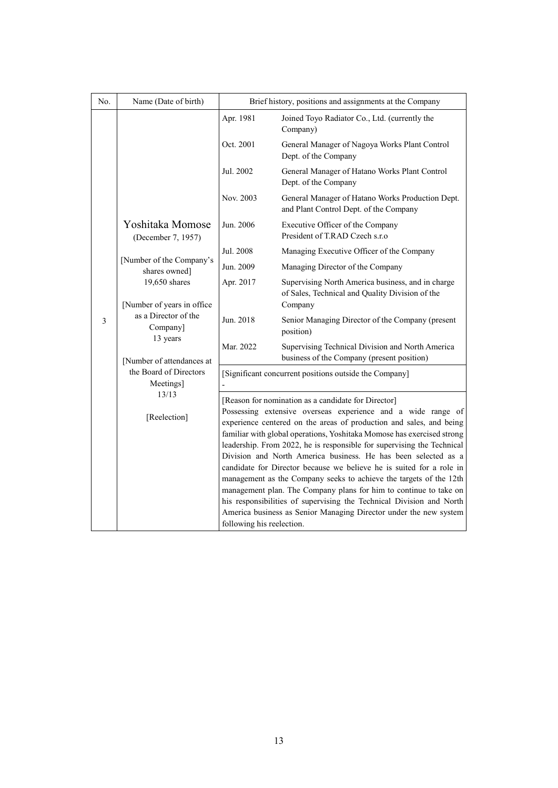| No.                                    | Name (Date of birth)                                                | Brief history, positions and assignments at the Company                                                                                                                                                                                                                                                                                                                                                                                                                                                 |                                                                                                                                           |  |
|----------------------------------------|---------------------------------------------------------------------|---------------------------------------------------------------------------------------------------------------------------------------------------------------------------------------------------------------------------------------------------------------------------------------------------------------------------------------------------------------------------------------------------------------------------------------------------------------------------------------------------------|-------------------------------------------------------------------------------------------------------------------------------------------|--|
|                                        |                                                                     | Apr. 1981                                                                                                                                                                                                                                                                                                                                                                                                                                                                                               | Joined Toyo Radiator Co., Ltd. (currently the<br>Company)                                                                                 |  |
|                                        |                                                                     | Oct. 2001                                                                                                                                                                                                                                                                                                                                                                                                                                                                                               | General Manager of Nagoya Works Plant Control<br>Dept. of the Company                                                                     |  |
|                                        |                                                                     | Jul. 2002                                                                                                                                                                                                                                                                                                                                                                                                                                                                                               | General Manager of Hatano Works Plant Control<br>Dept. of the Company                                                                     |  |
|                                        |                                                                     | Nov. 2003                                                                                                                                                                                                                                                                                                                                                                                                                                                                                               | General Manager of Hatano Works Production Dept.<br>and Plant Control Dept. of the Company                                                |  |
|                                        | Yoshitaka Momose<br>(December 7, 1957)                              | Jun. 2006                                                                                                                                                                                                                                                                                                                                                                                                                                                                                               | Executive Officer of the Company<br>President of T.RAD Czech s.r.o                                                                        |  |
|                                        |                                                                     | Jul. 2008                                                                                                                                                                                                                                                                                                                                                                                                                                                                                               | Managing Executive Officer of the Company                                                                                                 |  |
|                                        | [Number of the Company's<br>shares owned]                           | Jun. 2009                                                                                                                                                                                                                                                                                                                                                                                                                                                                                               | Managing Director of the Company                                                                                                          |  |
|                                        | 19,650 shares<br>[Number of years in office<br>as a Director of the | Apr. 2017                                                                                                                                                                                                                                                                                                                                                                                                                                                                                               | Supervising North America business, and in charge<br>of Sales, Technical and Quality Division of the                                      |  |
|                                        |                                                                     |                                                                                                                                                                                                                                                                                                                                                                                                                                                                                                         | Company                                                                                                                                   |  |
| $\mathfrak{Z}$<br>Company]<br>13 years | Jun. 2018                                                           | Senior Managing Director of the Company (present<br>position)                                                                                                                                                                                                                                                                                                                                                                                                                                           |                                                                                                                                           |  |
|                                        | [Number of attendances at                                           | Mar. 2022                                                                                                                                                                                                                                                                                                                                                                                                                                                                                               | Supervising Technical Division and North America<br>business of the Company (present position)                                            |  |
| the Board of Directors<br>Meetings]    |                                                                     | [Significant concurrent positions outside the Company]                                                                                                                                                                                                                                                                                                                                                                                                                                                  |                                                                                                                                           |  |
|                                        | 13/13                                                               |                                                                                                                                                                                                                                                                                                                                                                                                                                                                                                         | [Reason for nomination as a candidate for Director]                                                                                       |  |
| [Reelection]                           |                                                                     | Possessing extensive overseas experience and a wide range of<br>experience centered on the areas of production and sales, and being<br>familiar with global operations, Yoshitaka Momose has exercised strong<br>leadership. From 2022, he is responsible for supervising the Technical<br>Division and North America business. He has been selected as a<br>candidate for Director because we believe he is suited for a role in<br>management as the Company seeks to achieve the targets of the 12th |                                                                                                                                           |  |
|                                        |                                                                     | management plan. The Company plans for him to continue to take on                                                                                                                                                                                                                                                                                                                                                                                                                                       |                                                                                                                                           |  |
|                                        |                                                                     |                                                                                                                                                                                                                                                                                                                                                                                                                                                                                                         | his responsibilities of supervising the Technical Division and North<br>America business as Senior Managing Director under the new system |  |
|                                        |                                                                     | following his reelection.                                                                                                                                                                                                                                                                                                                                                                                                                                                                               |                                                                                                                                           |  |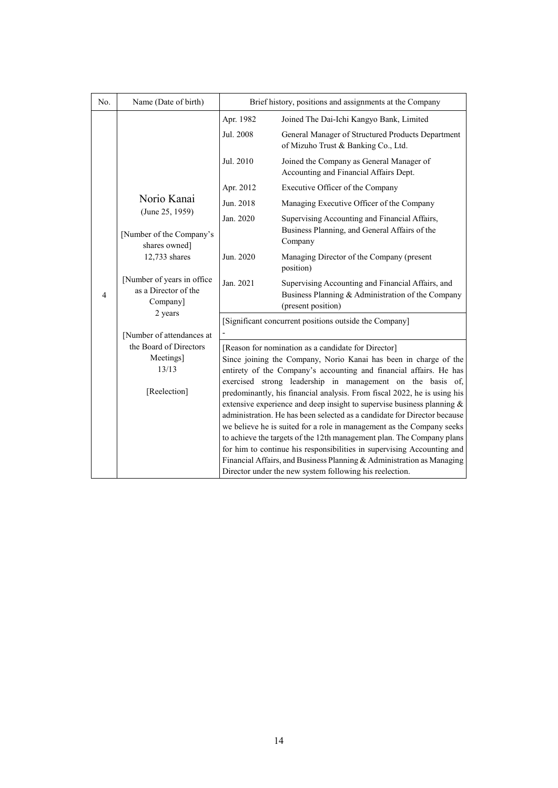| No.                                                                                                                          | Name (Date of birth)                      | Brief history, positions and assignments at the Company                                                                                                                                                                                                                                      |                                                                                          |  |
|------------------------------------------------------------------------------------------------------------------------------|-------------------------------------------|----------------------------------------------------------------------------------------------------------------------------------------------------------------------------------------------------------------------------------------------------------------------------------------------|------------------------------------------------------------------------------------------|--|
|                                                                                                                              |                                           | Apr. 1982                                                                                                                                                                                                                                                                                    | Joined The Dai-Ichi Kangyo Bank, Limited                                                 |  |
|                                                                                                                              |                                           | Jul. 2008                                                                                                                                                                                                                                                                                    | General Manager of Structured Products Department<br>of Mizuho Trust & Banking Co., Ltd. |  |
|                                                                                                                              |                                           | Jul. 2010                                                                                                                                                                                                                                                                                    | Joined the Company as General Manager of<br>Accounting and Financial Affairs Dept.       |  |
|                                                                                                                              |                                           | Apr. 2012                                                                                                                                                                                                                                                                                    | Executive Officer of the Company                                                         |  |
|                                                                                                                              | Norio Kanai                               | Jun. 2018                                                                                                                                                                                                                                                                                    | Managing Executive Officer of the Company                                                |  |
|                                                                                                                              | (June 25, 1959)                           | Jan. 2020                                                                                                                                                                                                                                                                                    | Supervising Accounting and Financial Affairs,                                            |  |
|                                                                                                                              | [Number of the Company's<br>shares owned] |                                                                                                                                                                                                                                                                                              | Business Planning, and General Affairs of the<br>Company                                 |  |
| 12,733 shares<br>[Number of years in office<br>as a Director of the<br>4<br>Company]<br>2 years<br>[Number of attendances at | Jun. 2020                                 | Managing Director of the Company (present<br>position)                                                                                                                                                                                                                                       |                                                                                          |  |
|                                                                                                                              | Jan. 2021                                 | Supervising Accounting and Financial Affairs, and<br>Business Planning & Administration of the Company<br>(present position)                                                                                                                                                                 |                                                                                          |  |
|                                                                                                                              |                                           | [Significant concurrent positions outside the Company]                                                                                                                                                                                                                                       |                                                                                          |  |
|                                                                                                                              |                                           |                                                                                                                                                                                                                                                                                              |                                                                                          |  |
|                                                                                                                              | the Board of Directors<br>Meetings]       |                                                                                                                                                                                                                                                                                              | [Reason for nomination as a candidate for Director]                                      |  |
|                                                                                                                              | 13/13                                     | Since joining the Company, Norio Kanai has been in charge of the<br>entirety of the Company's accounting and financial affairs. He has                                                                                                                                                       |                                                                                          |  |
| [Reelection]                                                                                                                 |                                           | exercised strong leadership in management on the basis of,<br>predominantly, his financial analysis. From fiscal 2022, he is using his<br>extensive experience and deep insight to supervise business planning &<br>administration. He has been selected as a candidate for Director because |                                                                                          |  |
|                                                                                                                              |                                           |                                                                                                                                                                                                                                                                                              | we believe he is suited for a role in management as the Company seeks                    |  |
|                                                                                                                              |                                           | to achieve the targets of the 12th management plan. The Company plans<br>for him to continue his responsibilities in supervising Accounting and                                                                                                                                              |                                                                                          |  |
|                                                                                                                              |                                           |                                                                                                                                                                                                                                                                                              | Financial Affairs, and Business Planning & Administration as Managing                    |  |
|                                                                                                                              |                                           |                                                                                                                                                                                                                                                                                              | Director under the new system following his reelection.                                  |  |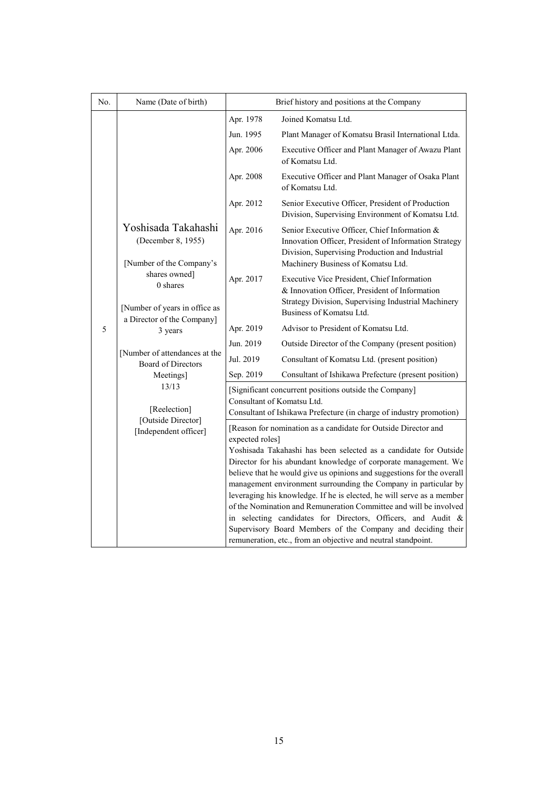| No. | Name (Date of birth)                                                  | Brief history and positions at the Company |                                                                                                                                                                                                                                                                                                                                                                                                                                                                                                                                                                                                                                                                                                  |
|-----|-----------------------------------------------------------------------|--------------------------------------------|--------------------------------------------------------------------------------------------------------------------------------------------------------------------------------------------------------------------------------------------------------------------------------------------------------------------------------------------------------------------------------------------------------------------------------------------------------------------------------------------------------------------------------------------------------------------------------------------------------------------------------------------------------------------------------------------------|
|     |                                                                       | Apr. 1978                                  | Joined Komatsu Ltd.                                                                                                                                                                                                                                                                                                                                                                                                                                                                                                                                                                                                                                                                              |
|     |                                                                       | Jun. 1995                                  | Plant Manager of Komatsu Brasil International Ltda.                                                                                                                                                                                                                                                                                                                                                                                                                                                                                                                                                                                                                                              |
|     |                                                                       | Apr. 2006                                  | Executive Officer and Plant Manager of Awazu Plant<br>of Komatsu Ltd.                                                                                                                                                                                                                                                                                                                                                                                                                                                                                                                                                                                                                            |
|     |                                                                       | Apr. 2008                                  | Executive Officer and Plant Manager of Osaka Plant<br>of Komatsu Ltd.                                                                                                                                                                                                                                                                                                                                                                                                                                                                                                                                                                                                                            |
|     |                                                                       | Apr. 2012                                  | Senior Executive Officer, President of Production<br>Division, Supervising Environment of Komatsu Ltd.                                                                                                                                                                                                                                                                                                                                                                                                                                                                                                                                                                                           |
|     | Yoshisada Takahashi<br>(December 8, 1955)<br>[Number of the Company's | Apr. 2016                                  | Senior Executive Officer, Chief Information &<br>Innovation Officer, President of Information Strategy<br>Division, Supervising Production and Industrial<br>Machinery Business of Komatsu Ltd.                                                                                                                                                                                                                                                                                                                                                                                                                                                                                                  |
|     | shares owned]<br>$0$ shares<br>[Number of years in office as          | Apr. 2017                                  | Executive Vice President, Chief Information<br>& Innovation Officer, President of Information<br>Strategy Division, Supervising Industrial Machinery<br>Business of Komatsu Ltd.                                                                                                                                                                                                                                                                                                                                                                                                                                                                                                                 |
| 5   | a Director of the Company]<br>3 years                                 | Apr. 2019                                  | Advisor to President of Komatsu Ltd.                                                                                                                                                                                                                                                                                                                                                                                                                                                                                                                                                                                                                                                             |
|     |                                                                       | Jun. 2019                                  | Outside Director of the Company (present position)                                                                                                                                                                                                                                                                                                                                                                                                                                                                                                                                                                                                                                               |
|     | [Number of attendances at the<br><b>Board of Directors</b>            | Jul. 2019                                  | Consultant of Komatsu Ltd. (present position)                                                                                                                                                                                                                                                                                                                                                                                                                                                                                                                                                                                                                                                    |
|     | Meetings]                                                             | Sep. 2019                                  | Consultant of Ishikawa Prefecture (present position)                                                                                                                                                                                                                                                                                                                                                                                                                                                                                                                                                                                                                                             |
|     | 13/13<br>[Reelection]                                                 | Consultant of Komatsu Ltd.                 | [Significant concurrent positions outside the Company]<br>Consultant of Ishikawa Prefecture (in charge of industry promotion)                                                                                                                                                                                                                                                                                                                                                                                                                                                                                                                                                                    |
|     | [Outside Director]<br>[Independent officer]                           | expected roles]                            | [Reason for nomination as a candidate for Outside Director and<br>Yoshisada Takahashi has been selected as a candidate for Outside<br>Director for his abundant knowledge of corporate management. We<br>believe that he would give us opinions and suggestions for the overall<br>management environment surrounding the Company in particular by<br>leveraging his knowledge. If he is elected, he will serve as a member<br>of the Nomination and Remuneration Committee and will be involved<br>in selecting candidates for Directors, Officers, and Audit &<br>Supervisory Board Members of the Company and deciding their<br>remuneration, etc., from an objective and neutral standpoint. |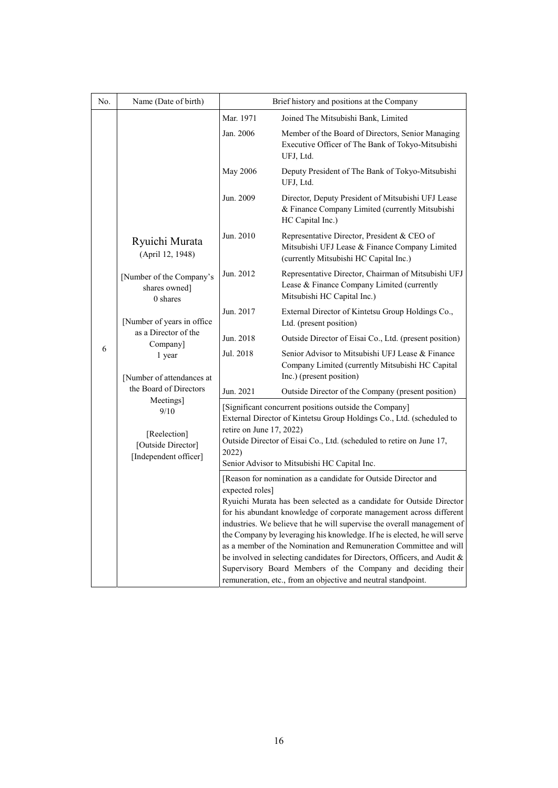| No. | Name (Date of birth)                                                                                                                                                                                                | Brief history and positions at the Company                                                                                                                                                                                                                                                                                                                                                                                                                             |                                                                                                                                         |  |  |
|-----|---------------------------------------------------------------------------------------------------------------------------------------------------------------------------------------------------------------------|------------------------------------------------------------------------------------------------------------------------------------------------------------------------------------------------------------------------------------------------------------------------------------------------------------------------------------------------------------------------------------------------------------------------------------------------------------------------|-----------------------------------------------------------------------------------------------------------------------------------------|--|--|
|     |                                                                                                                                                                                                                     | Mar. 1971                                                                                                                                                                                                                                                                                                                                                                                                                                                              | Joined The Mitsubishi Bank, Limited                                                                                                     |  |  |
|     |                                                                                                                                                                                                                     | Jan. 2006                                                                                                                                                                                                                                                                                                                                                                                                                                                              | Member of the Board of Directors, Senior Managing<br>Executive Officer of The Bank of Tokyo-Mitsubishi<br>UFJ, Ltd.                     |  |  |
|     | Ryuichi Murata<br>(April 12, 1948)                                                                                                                                                                                  | <b>May 2006</b>                                                                                                                                                                                                                                                                                                                                                                                                                                                        | Deputy President of The Bank of Tokyo-Mitsubishi<br>UFJ, Ltd.                                                                           |  |  |
|     |                                                                                                                                                                                                                     | Jun. 2009                                                                                                                                                                                                                                                                                                                                                                                                                                                              | Director, Deputy President of Mitsubishi UFJ Lease<br>& Finance Company Limited (currently Mitsubishi<br>HC Capital Inc.)               |  |  |
|     |                                                                                                                                                                                                                     | Jun. 2010                                                                                                                                                                                                                                                                                                                                                                                                                                                              | Representative Director, President & CEO of<br>Mitsubishi UFJ Lease & Finance Company Limited<br>(currently Mitsubishi HC Capital Inc.) |  |  |
|     | [Number of the Company's<br>shares owned]<br>0 shares                                                                                                                                                               | Jun. 2012                                                                                                                                                                                                                                                                                                                                                                                                                                                              | Representative Director, Chairman of Mitsubishi UFJ<br>Lease & Finance Company Limited (currently<br>Mitsubishi HC Capital Inc.)        |  |  |
|     | [Number of years in office<br>as a Director of the<br>Company]<br>1 year<br>[Number of attendances at<br>the Board of Directors<br>Meetings]<br>9/10<br>[Reelection]<br>[Outside Director]<br>[Independent officer] | Jun. 2017                                                                                                                                                                                                                                                                                                                                                                                                                                                              | External Director of Kintetsu Group Holdings Co.,<br>Ltd. (present position)                                                            |  |  |
|     |                                                                                                                                                                                                                     | Jun. 2018                                                                                                                                                                                                                                                                                                                                                                                                                                                              | Outside Director of Eisai Co., Ltd. (present position)                                                                                  |  |  |
| 6   |                                                                                                                                                                                                                     | Jul. 2018                                                                                                                                                                                                                                                                                                                                                                                                                                                              | Senior Advisor to Mitsubishi UFJ Lease & Finance<br>Company Limited (currently Mitsubishi HC Capital<br>Inc.) (present position)        |  |  |
|     |                                                                                                                                                                                                                     | Jun. 2021                                                                                                                                                                                                                                                                                                                                                                                                                                                              | Outside Director of the Company (present position)                                                                                      |  |  |
|     |                                                                                                                                                                                                                     | [Significant concurrent positions outside the Company]<br>External Director of Kintetsu Group Holdings Co., Ltd. (scheduled to<br>retire on June 17, 2022)<br>Outside Director of Eisai Co., Ltd. (scheduled to retire on June 17,<br>2022)<br>Senior Advisor to Mitsubishi HC Capital Inc.                                                                                                                                                                            |                                                                                                                                         |  |  |
|     |                                                                                                                                                                                                                     | [Reason for nomination as a candidate for Outside Director and                                                                                                                                                                                                                                                                                                                                                                                                         |                                                                                                                                         |  |  |
|     |                                                                                                                                                                                                                     | expected roles]<br>Ryuichi Murata has been selected as a candidate for Outside Director<br>for his abundant knowledge of corporate management across different<br>industries. We believe that he will supervise the overall management of<br>the Company by leveraging his knowledge. If he is elected, he will serve<br>as a member of the Nomination and Remuneration Committee and will<br>be involved in selecting candidates for Directors, Officers, and Audit & |                                                                                                                                         |  |  |
|     |                                                                                                                                                                                                                     | Supervisory Board Members of the Company and deciding their<br>remuneration, etc., from an objective and neutral standpoint.                                                                                                                                                                                                                                                                                                                                           |                                                                                                                                         |  |  |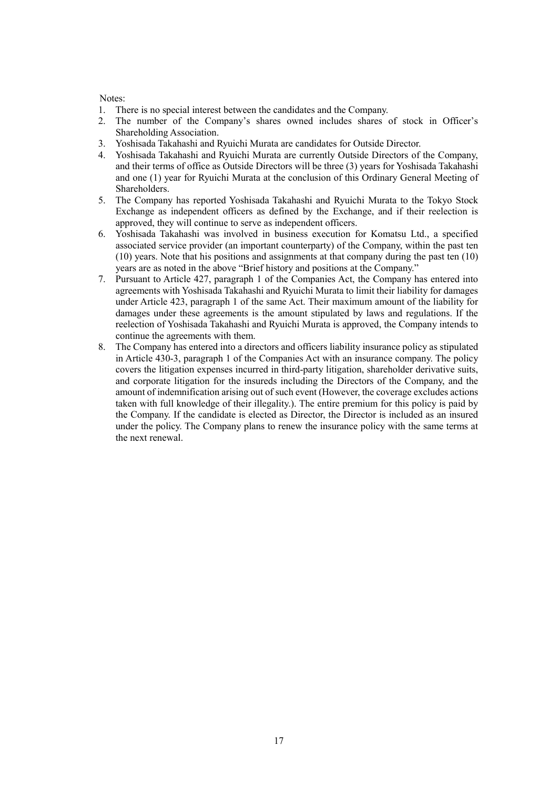Notes:

- 1. There is no special interest between the candidates and the Company.
- 2. The number of the Company's shares owned includes shares of stock in Officer's Shareholding Association.
- 3. Yoshisada Takahashi and Ryuichi Murata are candidates for Outside Director.
- 4. Yoshisada Takahashi and Ryuichi Murata are currently Outside Directors of the Company, and their terms of office as Outside Directors will be three (3) years for Yoshisada Takahashi and one (1) year for Ryuichi Murata at the conclusion of this Ordinary General Meeting of Shareholders.
- 5. The Company has reported Yoshisada Takahashi and Ryuichi Murata to the Tokyo Stock Exchange as independent officers as defined by the Exchange, and if their reelection is approved, they will continue to serve as independent officers.
- 6. Yoshisada Takahashi was involved in business execution for Komatsu Ltd., a specified associated service provider (an important counterparty) of the Company, within the past ten (10) years. Note that his positions and assignments at that company during the past ten (10) years are as noted in the above "Brief history and positions at the Company."
- 7. Pursuant to Article 427, paragraph 1 of the Companies Act, the Company has entered into agreements with Yoshisada Takahashi and Ryuichi Murata to limit their liability for damages under Article 423, paragraph 1 of the same Act. Their maximum amount of the liability for damages under these agreements is the amount stipulated by laws and regulations. If the reelection of Yoshisada Takahashi and Ryuichi Murata is approved, the Company intends to continue the agreements with them.
- 8. The Company has entered into a directors and officers liability insurance policy as stipulated in Article 430-3, paragraph 1 of the Companies Act with an insurance company. The policy covers the litigation expenses incurred in third-party litigation, shareholder derivative suits, and corporate litigation for the insureds including the Directors of the Company, and the amount of indemnification arising out of such event (However, the coverage excludes actions taken with full knowledge of their illegality.). The entire premium for this policy is paid by the Company. If the candidate is elected as Director, the Director is included as an insured under the policy. The Company plans to renew the insurance policy with the same terms at the next renewal.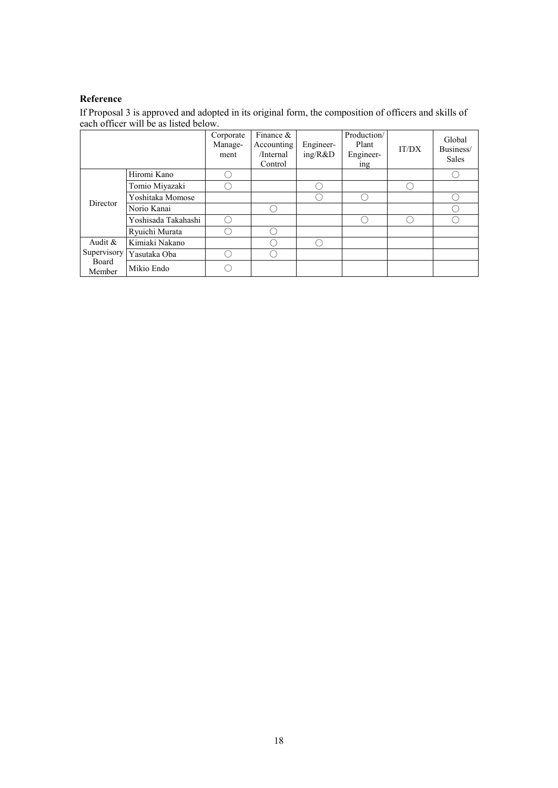## **Reference**

If Proposal 3 is approved and adopted in its original form, the composition of officers and skills of each officer will be as listed below.

|                 |                     | Corporate<br>Manage-<br>ment | Finance &<br>Accounting<br>/Internal<br>Control | Engineer-<br>ing/R&D | Production/<br>Plant<br>Engineer-<br>ing | IT/DX | Global<br>Business/<br>Sales |
|-----------------|---------------------|------------------------------|-------------------------------------------------|----------------------|------------------------------------------|-------|------------------------------|
|                 | Hiromi Kano         |                              |                                                 |                      |                                          |       |                              |
|                 | Tomio Miyazaki      |                              |                                                 |                      |                                          |       |                              |
| Director        | Yoshitaka Momose    |                              |                                                 |                      |                                          |       |                              |
|                 | Norio Kanai         |                              | Ω,                                              |                      |                                          |       |                              |
|                 | Yoshisada Takahashi |                              |                                                 |                      |                                          |       |                              |
|                 | Ryuichi Murata      |                              | Ω,                                              |                      |                                          |       |                              |
| Audit &         | Kimiaki Nakano      |                              | r i                                             |                      |                                          |       |                              |
| Supervisory     | Yasutaka Oba        |                              | r i                                             |                      |                                          |       |                              |
| Board<br>Member | Mikio Endo          |                              |                                                 |                      |                                          |       |                              |